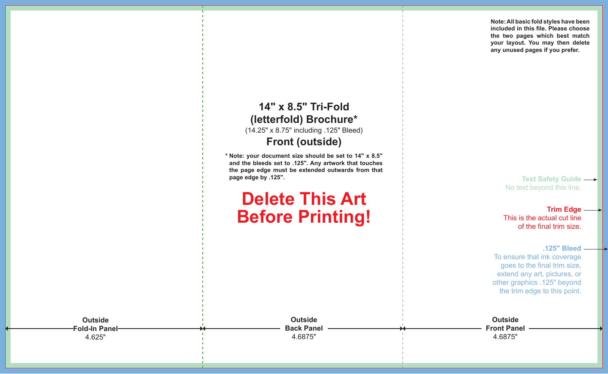**Note: All basic fold styles have been included in this file. Please choose the two pages which best match your layout. You may then delete any unused pages if you prefer.**

### **14" x 8.5" Tri-Fold (letterfold) Brochure\*** (14.25" x 8.75" including .125" Bleed)

### **Front (outside)**

**\* Note: your document size should be set to 14" x 8.5" and the bleeds set to .125". Any artwork that touches the page edge must be extended outwards from that page edge by .125".**

# **Delete This Art Before Printing!**

**Text Safety Guide**  No text beyond this line.

**Trim Edge** This is the actual cut line of the final trim size.

**.125" Bleed** To ensure that ink coverage goes to the final trim size, extend any art, pictures, or other graphics .125" beyond the trim edge to this point.

**Outside Front Panel** 4.6875"

**Fold-In Panel-**4.625"

**Outside** 

**Outside Back Panel** 4.6875"